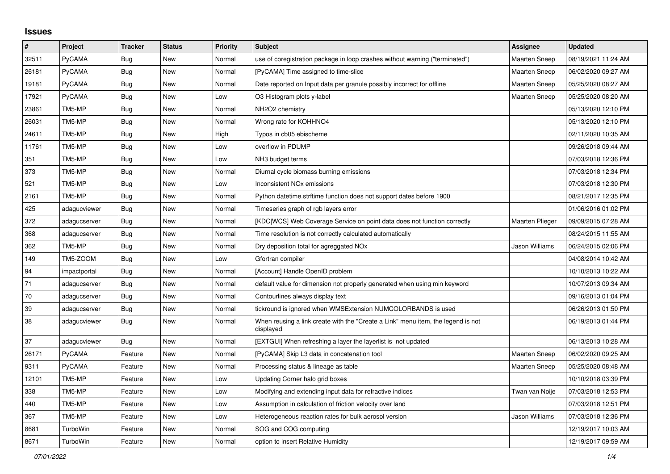## **Issues**

| $\sharp$ | Project       | <b>Tracker</b> | <b>Status</b> | <b>Priority</b> | <b>Subject</b>                                                                                | Assignee               | <b>Updated</b>      |
|----------|---------------|----------------|---------------|-----------------|-----------------------------------------------------------------------------------------------|------------------------|---------------------|
| 32511    | PyCAMA        | <b>Bug</b>     | New           | Normal          | use of coregistration package in loop crashes without warning ("terminated")                  | Maarten Sneep          | 08/19/2021 11:24 AM |
| 26181    | PyCAMA        | <b>Bug</b>     | <b>New</b>    | Normal          | [PyCAMA] Time assigned to time-slice                                                          | <b>Maarten Sneep</b>   | 06/02/2020 09:27 AM |
| 19181    | PyCAMA        | <b>Bug</b>     | New           | Normal          | Date reported on Input data per granule possibly incorrect for offline                        | <b>Maarten Sneep</b>   | 05/25/2020 08:27 AM |
| 17921    | PyCAMA        | <b>Bug</b>     | New           | Low             | O3 Histogram plots y-label                                                                    | <b>Maarten Sneep</b>   | 05/25/2020 08:20 AM |
| 23861    | TM5-MP        | Bug            | New           | Normal          | NH2O2 chemistry                                                                               |                        | 05/13/2020 12:10 PM |
| 26031    | TM5-MP        | Bug            | New           | Normal          | Wrong rate for KOHHNO4                                                                        |                        | 05/13/2020 12:10 PM |
| 24611    | TM5-MP        | Bug            | New           | High            | Typos in cb05 ebischeme                                                                       |                        | 02/11/2020 10:35 AM |
| 11761    | TM5-MP        | Bug            | <b>New</b>    | Low             | overflow in PDUMP                                                                             |                        | 09/26/2018 09:44 AM |
| 351      | TM5-MP        | Bug            | New           | Low             | NH <sub>3</sub> budget terms                                                                  |                        | 07/03/2018 12:36 PM |
| 373      | TM5-MP        | Bug            | New           | Normal          | Diurnal cycle biomass burning emissions                                                       |                        | 07/03/2018 12:34 PM |
| 521      | TM5-MP        | Bug            | New           | Low             | Inconsistent NO <sub>x</sub> emissions                                                        |                        | 07/03/2018 12:30 PM |
| 2161     | TM5-MP        | <b>Bug</b>     | New           | Normal          | Python datetime.strftime function does not support dates before 1900                          |                        | 08/21/2017 12:35 PM |
| 425      | adagucviewer  | <b>Bug</b>     | New           | Normal          | Timeseries graph of rgb layers error                                                          |                        | 01/06/2016 01:02 PM |
| 372      | adagucserver  | <b>Bug</b>     | New           | Normal          | [KDC WCS] Web Coverage Service on point data does not function correctly                      | <b>Maarten Plieger</b> | 09/09/2015 07:28 AM |
| 368      | adagucserver  | Bug            | New           | Normal          | Time resolution is not correctly calculated automatically                                     |                        | 08/24/2015 11:55 AM |
| 362      | TM5-MP        | Bug            | New           | Normal          | Dry deposition total for agreggated NO <sub>x</sub>                                           | Jason Williams         | 06/24/2015 02:06 PM |
| 149      | TM5-ZOOM      | Bug            | New           | Low             | Gfortran compiler                                                                             |                        | 04/08/2014 10:42 AM |
| 94       | impactportal  | Bug            | New           | Normal          | [Account] Handle OpenID problem                                                               |                        | 10/10/2013 10:22 AM |
| 71       | adagucserver  | Bug            | New           | Normal          | default value for dimension not properly generated when using min keyword                     |                        | 10/07/2013 09:34 AM |
| 70       | adagucserver  | Bug            | New           | Normal          | Contourlines always display text                                                              |                        | 09/16/2013 01:04 PM |
| 39       | adagucserver  | Bug            | New           | Normal          | tickround is ignored when WMSExtension NUMCOLORBANDS is used                                  |                        | 06/26/2013 01:50 PM |
| 38       | adagucviewer  | Bug            | New           | Normal          | When reusing a link create with the "Create a Link" menu item, the legend is not<br>displayed |                        | 06/19/2013 01:44 PM |
| 37       | adagucviewer  | Bug            | New           | Normal          | [EXTGUI] When refreshing a layer the layerlist is not updated                                 |                        | 06/13/2013 10:28 AM |
| 26171    | <b>PyCAMA</b> | Feature        | New           | Normal          | [PyCAMA] Skip L3 data in concatenation tool                                                   | <b>Maarten Sneep</b>   | 06/02/2020 09:25 AM |
| 9311     | PyCAMA        | Feature        | New           | Normal          | Processing status & lineage as table                                                          | <b>Maarten Sneep</b>   | 05/25/2020 08:48 AM |
| 12101    | TM5-MP        | Feature        | New           | Low             | Updating Corner halo grid boxes                                                               |                        | 10/10/2018 03:39 PM |
| 338      | TM5-MP        | Feature        | New           | Low             | Modifying and extending input data for refractive indices                                     | Twan van Noije         | 07/03/2018 12:53 PM |
| 440      | TM5-MP        | Feature        | New           | Low             | Assumption in calculation of friction velocity over land                                      |                        | 07/03/2018 12:51 PM |
| 367      | TM5-MP        | Feature        | New           | Low             | Heterogeneous reaction rates for bulk aerosol version                                         | Jason Williams         | 07/03/2018 12:36 PM |
| 8681     | TurboWin      | Feature        | New           | Normal          | SOG and COG computing                                                                         |                        | 12/19/2017 10:03 AM |
| 8671     | TurboWin      | Feature        | New           | Normal          | option to insert Relative Humidity                                                            |                        | 12/19/2017 09:59 AM |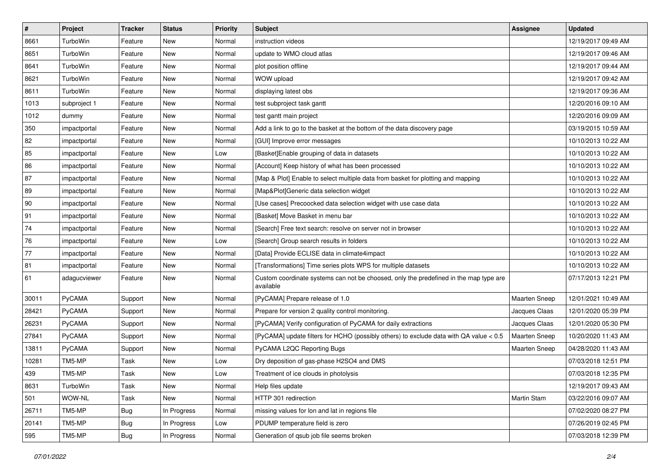| $\vert$ #    | Project         | <b>Tracker</b> | <b>Status</b> | <b>Priority</b> | <b>Subject</b>                                                                                     | <b>Assignee</b>      | <b>Updated</b>      |
|--------------|-----------------|----------------|---------------|-----------------|----------------------------------------------------------------------------------------------------|----------------------|---------------------|
| 8661         | TurboWin        | Feature        | New           | Normal          | instruction videos                                                                                 |                      | 12/19/2017 09:49 AM |
| 8651         | TurboWin        | Feature        | <b>New</b>    | Normal          | update to WMO cloud atlas                                                                          |                      | 12/19/2017 09:46 AM |
| 8641         | TurboWin        | Feature        | New           | Normal          | plot position offline                                                                              |                      | 12/19/2017 09:44 AM |
| 8621         | TurboWin        | Feature        | <b>New</b>    | Normal          | WOW upload                                                                                         |                      | 12/19/2017 09:42 AM |
| 8611         | <b>TurboWin</b> | Feature        | <b>New</b>    | Normal          | displaying latest obs                                                                              |                      | 12/19/2017 09:36 AM |
| 1013         | subproject 1    | Feature        | <b>New</b>    | Normal          | test subproject task gantt                                                                         |                      | 12/20/2016 09:10 AM |
| 1012         | dummy           | Feature        | <b>New</b>    | Normal          | test gantt main project                                                                            |                      | 12/20/2016 09:09 AM |
| 350          | impactportal    | Feature        | New           | Normal          | Add a link to go to the basket at the bottom of the data discovery page                            |                      | 03/19/2015 10:59 AM |
| 82           | impactportal    | Feature        | New           | Normal          | [GUI] Improve error messages                                                                       |                      | 10/10/2013 10:22 AM |
| 85           | impactportal    | Feature        | <b>New</b>    | Low             | [Basket]Enable grouping of data in datasets                                                        |                      | 10/10/2013 10:22 AM |
| 86           | impactportal    | Feature        | New           | Normal          | [Account] Keep history of what has been processed                                                  |                      | 10/10/2013 10:22 AM |
| 87           | impactportal    | Feature        | <b>New</b>    | Normal          | [Map & Plot] Enable to select multiple data from basket for plotting and mapping                   |                      | 10/10/2013 10:22 AM |
| 89           | impactportal    | Feature        | New           | Normal          | [Map&Plot]Generic data selection widget                                                            |                      | 10/10/2013 10:22 AM |
| $ 90\rangle$ | impactportal    | Feature        | <b>New</b>    | Normal          | [Use cases] Precoocked data selection widget with use case data                                    |                      | 10/10/2013 10:22 AM |
| 91           | impactportal    | Feature        | <b>New</b>    | Normal          | [Basket] Move Basket in menu bar                                                                   |                      | 10/10/2013 10:22 AM |
| 74           | impactportal    | Feature        | New           | Normal          | [Search] Free text search: resolve on server not in browser                                        |                      | 10/10/2013 10:22 AM |
| 76           | impactportal    | Feature        | <b>New</b>    | Low             | [Search] Group search results in folders                                                           |                      | 10/10/2013 10:22 AM |
| 77           | impactportal    | Feature        | New           | Normal          | [Data] Provide ECLISE data in climate4impact                                                       |                      | 10/10/2013 10:22 AM |
| 81           | impactportal    | Feature        | New           | Normal          | [Transformations] Time series plots WPS for multiple datasets                                      |                      | 10/10/2013 10:22 AM |
| 61           | adagucviewer    | Feature        | New           | Normal          | Custom coordinate systems can not be choosed, only the predefined in the map type are<br>available |                      | 07/17/2013 12:21 PM |
| 30011        | PyCAMA          | Support        | <b>New</b>    | Normal          | [PyCAMA] Prepare release of 1.0                                                                    | Maarten Sneep        | 12/01/2021 10:49 AM |
| 28421        | PyCAMA          | Support        | <b>New</b>    | Normal          | Prepare for version 2 quality control monitoring.                                                  | Jacques Claas        | 12/01/2020 05:39 PM |
| 26231        | PyCAMA          | Support        | New           | Normal          | [PyCAMA] Verify configuration of PyCAMA for daily extractions                                      | Jacques Claas        | 12/01/2020 05:30 PM |
| 27841        | PyCAMA          | Support        | <b>New</b>    | Normal          | [PyCAMA] update filters for HCHO (possibly others) to exclude data with QA value < 0.5             | Maarten Sneep        | 10/20/2020 11:43 AM |
| 13811        | PyCAMA          | Support        | New           | Normal          | PyCAMA L2QC Reporting Bugs                                                                         | <b>Maarten Sneep</b> | 04/28/2020 11:43 AM |
| 10281        | TM5-MP          | Task           | New           | Low             | Dry deposition of gas-phase H2SO4 and DMS                                                          |                      | 07/03/2018 12:51 PM |
| 439          | TM5-MP          | Task           | New           | Low             | Treatment of ice clouds in photolysis                                                              |                      | 07/03/2018 12:35 PM |
| 8631         | TurboWin        | Task           | New           | Normal          | Help files update                                                                                  |                      | 12/19/2017 09:43 AM |
| 501          | WOW-NL          | Task           | New           | Normal          | HTTP 301 redirection                                                                               | Martin Stam          | 03/22/2016 09:07 AM |
| 26711        | TM5-MP          | Bug            | In Progress   | Normal          | missing values for lon and lat in regions file                                                     |                      | 07/02/2020 08:27 PM |
| 20141        | TM5-MP          | Bug            | In Progress   | Low             | PDUMP temperature field is zero                                                                    |                      | 07/26/2019 02:45 PM |
| 595          | TM5-MP          | Bug            | In Progress   | Normal          | Generation of qsub job file seems broken                                                           |                      | 07/03/2018 12:39 PM |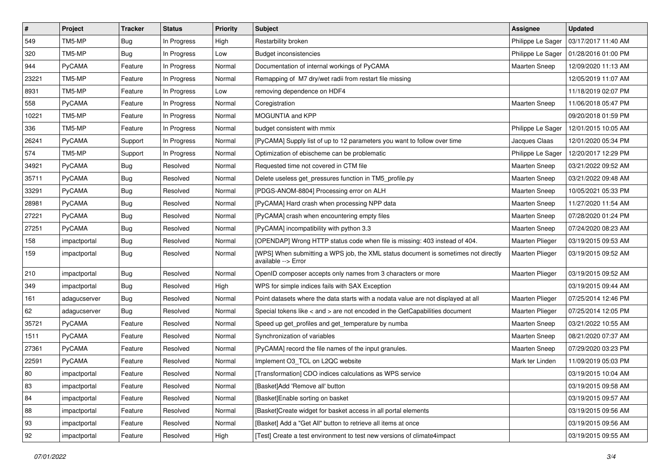| $\pmb{\#}$ | Project      | <b>Tracker</b> | <b>Status</b> | <b>Priority</b> | <b>Subject</b>                                                                                            | Assignee             | <b>Updated</b>      |
|------------|--------------|----------------|---------------|-----------------|-----------------------------------------------------------------------------------------------------------|----------------------|---------------------|
| 549        | TM5-MP       | <b>Bug</b>     | In Progress   | High            | Restarbility broken                                                                                       | Philippe Le Sager    | 03/17/2017 11:40 AM |
| 320        | TM5-MP       | Bug            | In Progress   | Low             | <b>Budget inconsistencies</b>                                                                             | Philippe Le Sager    | 01/28/2016 01:00 PM |
| 944        | PyCAMA       | Feature        | In Progress   | Normal          | Documentation of internal workings of PyCAMA                                                              | Maarten Sneep        | 12/09/2020 11:13 AM |
| 23221      | TM5-MP       | Feature        | In Progress   | Normal          | Remapping of M7 dry/wet radii from restart file missing                                                   |                      | 12/05/2019 11:07 AM |
| 8931       | TM5-MP       | Feature        | In Progress   | Low             | removing dependence on HDF4                                                                               |                      | 11/18/2019 02:07 PM |
| 558        | PyCAMA       | Feature        | In Progress   | Normal          | Coregistration                                                                                            | Maarten Sneep        | 11/06/2018 05:47 PM |
| 10221      | TM5-MP       | Feature        | In Progress   | Normal          | MOGUNTIA and KPP                                                                                          |                      | 09/20/2018 01:59 PM |
| 336        | TM5-MP       | Feature        | In Progress   | Normal          | budget consistent with mmix                                                                               | Philippe Le Sager    | 12/01/2015 10:05 AM |
| 26241      | PyCAMA       | Support        | In Progress   | Normal          | [PyCAMA] Supply list of up to 12 parameters you want to follow over time                                  | Jacques Claas        | 12/01/2020 05:34 PM |
| 574        | TM5-MP       | Support        | In Progress   | Normal          | Optimization of ebischeme can be problematic                                                              | Philippe Le Sager    | 12/20/2017 12:29 PM |
| 34921      | PyCAMA       | <b>Bug</b>     | Resolved      | Normal          | Requested time not covered in CTM file                                                                    | Maarten Sneep        | 03/21/2022 09:52 AM |
| 35711      | PyCAMA       | Bug            | Resolved      | Normal          | Delete useless get_pressures function in TM5_profile.py                                                   | Maarten Sneep        | 03/21/2022 09:48 AM |
| 33291      | PyCAMA       | Bug            | Resolved      | Normal          | [PDGS-ANOM-8804] Processing error on ALH                                                                  | Maarten Sneep        | 10/05/2021 05:33 PM |
| 28981      | PyCAMA       | <b>Bug</b>     | Resolved      | Normal          | [PyCAMA] Hard crash when processing NPP data                                                              | Maarten Sneep        | 11/27/2020 11:54 AM |
| 27221      | PyCAMA       | Bug            | Resolved      | Normal          | [PyCAMA] crash when encountering empty files                                                              | Maarten Sneep        | 07/28/2020 01:24 PM |
| 27251      | PyCAMA       | Bug            | Resolved      | Normal          | [PyCAMA] incompatibility with python 3.3                                                                  | Maarten Sneep        | 07/24/2020 08:23 AM |
| 158        | impactportal | Bug            | Resolved      | Normal          | [OPENDAP] Wrong HTTP status code when file is missing: 403 instead of 404.                                | Maarten Plieger      | 03/19/2015 09:53 AM |
| 159        | impactportal | <b>Bug</b>     | Resolved      | Normal          | [WPS] When submitting a WPS job, the XML status document is sometimes not directly<br>available --> Error | Maarten Plieger      | 03/19/2015 09:52 AM |
| 210        | impactportal | <b>Bug</b>     | Resolved      | Normal          | OpenID composer accepts only names from 3 characters or more                                              | Maarten Plieger      | 03/19/2015 09:52 AM |
| 349        | impactportal | Bug            | Resolved      | High            | WPS for simple indices fails with SAX Exception                                                           |                      | 03/19/2015 09:44 AM |
| 161        | adagucserver | <b>Bug</b>     | Resolved      | Normal          | Point datasets where the data starts with a nodata value are not displayed at all                         | Maarten Plieger      | 07/25/2014 12:46 PM |
| 62         | adagucserver | <b>Bug</b>     | Resolved      | Normal          | Special tokens like < and > are not encoded in the GetCapabilities document                               | Maarten Plieger      | 07/25/2014 12:05 PM |
| 35721      | PyCAMA       | Feature        | Resolved      | Normal          | Speed up get_profiles and get_temperature by numba                                                        | <b>Maarten Sneep</b> | 03/21/2022 10:55 AM |
| 1511       | PyCAMA       | Feature        | Resolved      | Normal          | Synchronization of variables                                                                              | <b>Maarten Sneep</b> | 08/21/2020 07:37 AM |
| 27361      | PyCAMA       | Feature        | Resolved      | Normal          | [PyCAMA] record the file names of the input granules.                                                     | Maarten Sneep        | 07/29/2020 03:23 PM |
| 22591      | PyCAMA       | Feature        | Resolved      | Normal          | Implement O3_TCL on L2QC website                                                                          | Mark ter Linden      | 11/09/2019 05:03 PM |
| 80         | impactportal | Feature        | Resolved      | Normal          | [Transformation] CDO indices calculations as WPS service                                                  |                      | 03/19/2015 10:04 AM |
| 83         | impactportal | Feature        | Resolved      | Normal          | [Basket]Add 'Remove all' button                                                                           |                      | 03/19/2015 09:58 AM |
| 84         | impactportal | Feature        | Resolved      | Normal          | [Basket]Enable sorting on basket                                                                          |                      | 03/19/2015 09:57 AM |
| 88         | impactportal | Feature        | Resolved      | Normal          | [Basket]Create widget for basket access in all portal elements                                            |                      | 03/19/2015 09:56 AM |
| 93         | impactportal | Feature        | Resolved      | Normal          | [Basket] Add a "Get All" button to retrieve all items at once                                             |                      | 03/19/2015 09:56 AM |
| 92         | impactportal | Feature        | Resolved      | High            | [Test] Create a test environment to test new versions of climate4impact                                   |                      | 03/19/2015 09:55 AM |